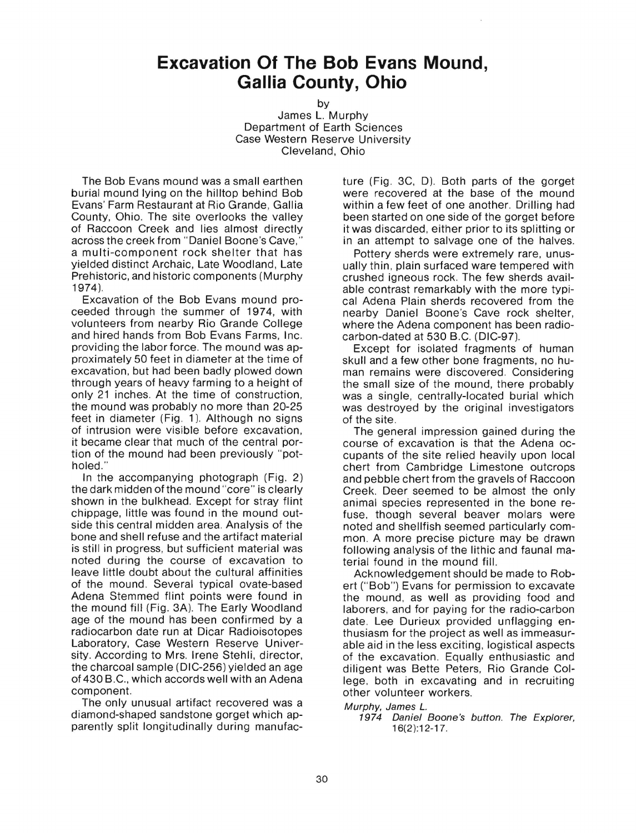## **Excavation Of The Bob Evans Mound, Gallia County, Ohio**

by James L. Murphy Department of Earth Sciences Case Western Reserve University Cleveland, Ohio

The Bob Evans mound was a small earthen burial mound lying on the hilltop behind Bob Evans' Farm Restaurant at Rio Grande, Gallia County, Ohio. The site overlooks the valley of Raccoon Creek and lies almost directly across the creek from " Daniel Boone's Cave," a multi-component rock shelter that has yielded distinct Archaic, Late Woodland, Late Prehistoric, and historic components (Murphy 1974).

ceeded through the summer of 1974, with and hired hands from Bob Evans Farms, Inc. volunteers from nearby Rio Grande College Excavation of the Bob Evans mound proximately 50 feet in diameter at the time of providing the labor force . The mound was excavation, but had been badly plowed down through years of heavy farming to a height of only 21 inches. At the time of construction, the mound was probably no more than 20-25 feet in diameter (Fig. 1). Although no signs of intrusion were visible before excavation, tion of the mound had been previously it became clear that much of the central holed ."

In the accompanying photograph (Fig the dark midden of the mound "core" is clearly shown in the bulkhead. Except for stray flint side this central midden area . Analysis of the chippage, little was found in the mound bone and shell refuse and the artifact material is still in progress, but sufficient material was noted during the course of excavation to leave little doubt about the cultural affinities of the mound. Several typical ovate-based Adena Stemmed flint points were found in the mound fill (Fig. 3A). The Early Woodland age of the mound has been confirmed by a radiocarbon date run at Dicar Radioisotopes sity. According to Mrs. Irene Stehli, director, the charcoal sample (DIC-256) yielded an age Laboratory, Case Western Reserve of 430 B.C., which accords well with an Adena component.

The only unusual artifact recovered was a diamond-shaped sandstone gorget which parently split longitudinally during

ture (Fig. 3C, D). Both parts of the gorget were recovered at the base of the mound within a few feet of one another. Drilling had been started on one side of the gorget before it was discarded, either prior to its splitting or in an attempt to salvage one of the halves.

pro-cal Adena Plain sherds recovered from the ually thin, plain surfaced ware tempered with Pottery sherds were extremely rare, unuscrushed igneous rock. The few sherds able contrast remarkably with the more availtypinearby Daniel Boone's Cave rock shelter, where the Adena component has been carbon-dated at 530 B .C. (DIC-97). radio-

ap-Except for isolated fragments of human was destroyed by the original investigators skull and a few other bone fragments , no the small size of the mound, there probably was a single, centrally-located burial which of the site. man remains were discovered . Considering hu-

"pot-<br>
cupants of the site relied heavily upon local por-<br>
course of excavation is that the Adena oc-<br>
pot-<br>
cupants of the site relied heavily upon local<br>
chert from Cambridge Limestone outcrops<br>
and pebble chert from the gravels of Raccoon out- fuse, though several beaver molars were The general impression gained during the terial found in the mound fill. and pebble chert from the gravels of Raccoon Creek. Deer seemed to be almost the only chert from Cambridge Limestone outcrops animal species represented in the bone following analysis of the lithic and faunal noted and shellfish seemed particularly mon. A more precise picture may be drawn commaocre-

Univer-able aid in the less exciting, logistical aspects the mound, as well as providing food and date. Lee Durieux provided unflagging of the excavation . Equally enthusiastic and thusiasm for the project as well as immeasurert (" Bob") Evans for permission to excavate laborers, and for paying for the radio-carbon Acknowledgement should be made to Robendiligent was Bette Peters, Rio Grande other volunteer workers . lege, both in excavating and in recruiting Col

Murphy, James L.

manufac-16(2):12-17. ap-1974 Daniel Boone's button. The Explorer,